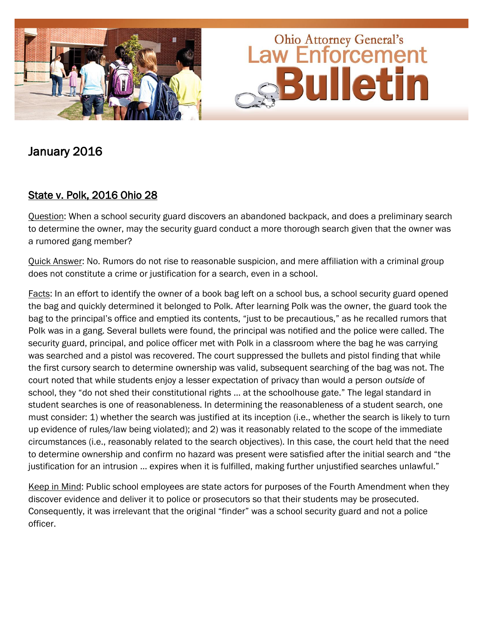

# January 2016

# State v. Polk, 2016 Ohio 28

Question: When a school security guard discovers an abandoned backpack, and does a preliminary search to determine the owner, may the security guard conduct a more thorough search given that the owner was a rumored gang member?

Quick Answer: No. Rumors do not rise to reasonable suspicion, and mere affiliation with a criminal group does not constitute a crime or justification for a search, even in a school.

Facts: In an effort to identify the owner of a book bag left on a school bus, a school security guard opened the bag and quickly determined it belonged to Polk. After learning Polk was the owner, the guard took the bag to the principal's office and emptied its contents, "just to be precautious," as he recalled rumors that Polk was in a gang. Several bullets were found, the principal was notified and the police were called. The security guard, principal, and police officer met with Polk in a classroom where the bag he was carrying was searched and a pistol was recovered. The court suppressed the bullets and pistol finding that while the first cursory search to determine ownership was valid, subsequent searching of the bag was not. The court noted that while students enjoy a lesser expectation of privacy than would a person *outside* of school, they "do not shed their constitutional rights … at the schoolhouse gate." The legal standard in student searches is one of reasonableness. In determining the reasonableness of a student search, one must consider: 1) whether the search was justified at its inception (i.e., whether the search is likely to turn up evidence of rules/law being violated); and 2) was it reasonably related to the scope of the immediate circumstances (i.e., reasonably related to the search objectives). In this case, the court held that the need to determine ownership and confirm no hazard was present were satisfied after the initial search and "the justification for an intrusion … expires when it is fulfilled, making further unjustified searches unlawful."

Keep in Mind: Public school employees are state actors for purposes of the Fourth Amendment when they discover evidence and deliver it to police or prosecutors so that their students may be prosecuted. Consequently, it was irrelevant that the original "finder" was a school security guard and not a police officer.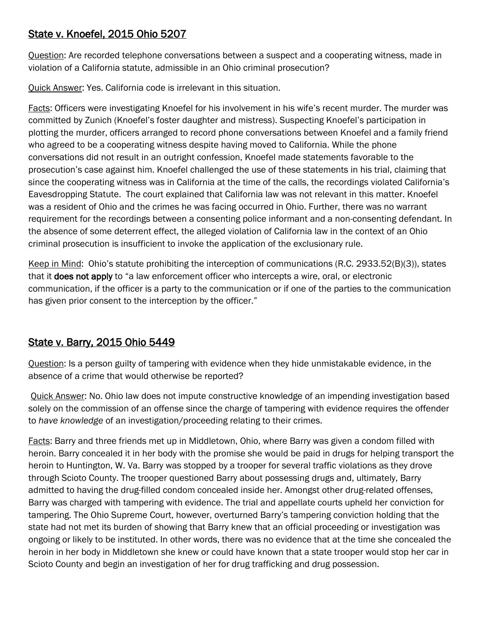### State v. Knoefel, 2015 Ohio 5207

Question: Are recorded telephone conversations between a suspect and a cooperating witness, made in violation of a California statute, admissible in an Ohio criminal prosecution?

Quick Answer: Yes. California code is irrelevant in this situation.

Facts: Officers were investigating Knoefel for his involvement in his wife's recent murder. The murder was committed by Zunich (Knoefel's foster daughter and mistress). Suspecting Knoefel's participation in plotting the murder, officers arranged to record phone conversations between Knoefel and a family friend who agreed to be a cooperating witness despite having moved to California. While the phone conversations did not result in an outright confession, Knoefel made statements favorable to the prosecution's case against him. Knoefel challenged the use of these statements in his trial, claiming that since the cooperating witness was in California at the time of the calls, the recordings violated California's Eavesdropping Statute. The court explained that California law was not relevant in this matter. Knoefel was a resident of Ohio and the crimes he was facing occurred in Ohio. Further, there was no warrant requirement for the recordings between a consenting police informant and a non-consenting defendant. In the absence of some deterrent effect, the alleged violation of California law in the context of an Ohio criminal prosecution is insufficient to invoke the application of the exclusionary rule.

Keep in Mind: Ohio's statute prohibiting the interception of communications (R.C. 2933.52(B)(3)), states that it **does not apply** to "a law enforcement officer who intercepts a wire, oral, or electronic communication, if the officer is a party to the communication or if one of the parties to the communication has given prior consent to the interception by the officer."

# State v. Barry, 2015 Ohio 5449

Question: Is a person guilty of tampering with evidence when they hide unmistakable evidence, in the absence of a crime that would otherwise be reported?

Quick Answer: No. Ohio law does not impute constructive knowledge of an impending investigation based solely on the commission of an offense since the charge of tampering with evidence requires the offender to *have knowledge* of an investigation/proceeding relating to their crimes.

Facts: Barry and three friends met up in Middletown, Ohio, where Barry was given a condom filled with heroin. Barry concealed it in her body with the promise she would be paid in drugs for helping transport the heroin to Huntington, W. Va. Barry was stopped by a trooper for several traffic violations as they drove through Scioto County. The trooper questioned Barry about possessing drugs and, ultimately, Barry admitted to having the drug-filled condom concealed inside her. Amongst other drug-related offenses, Barry was charged with tampering with evidence. The trial and appellate courts upheld her conviction for tampering. The Ohio Supreme Court, however, overturned Barry's tampering conviction holding that the state had not met its burden of showing that Barry knew that an official proceeding or investigation was ongoing or likely to be instituted. In other words, there was no evidence that at the time she concealed the heroin in her body in Middletown she knew or could have known that a state trooper would stop her car in Scioto County and begin an investigation of her for drug trafficking and drug possession.